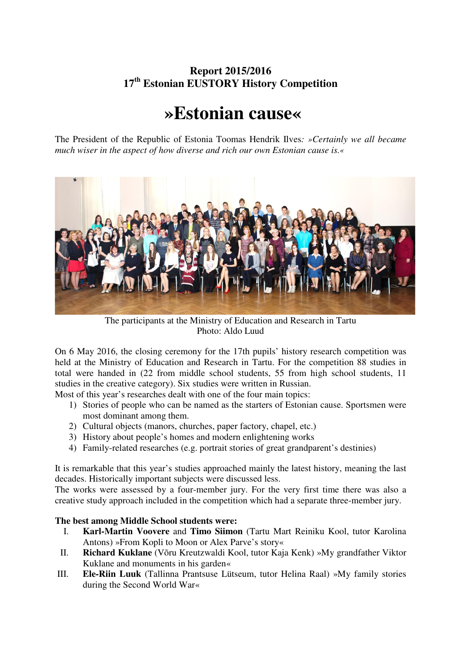## **Report 2015/2016 17th Estonian EUSTORY History Competition**

## **»Estonian cause«**

The President of the Republic of Estonia Toomas Hendrik Ilves*: »Certainly we all became much wiser in the aspect of how diverse and rich our own Estonian cause is.«* 



The participants at the Ministry of Education and Research in Tartu Photo: Aldo Luud

On 6 May 2016, the closing ceremony for the 17th pupils' history research competition was held at the Ministry of Education and Research in Tartu. For the competition 88 studies in total were handed in (22 from middle school students, 55 from high school students, 11 studies in the creative category). Six studies were written in Russian.

Most of this year's researches dealt with one of the four main topics:

- 1) Stories of people who can be named as the starters of Estonian cause. Sportsmen were most dominant among them.
- 2) Cultural objects (manors, churches, paper factory, chapel, etc.)
- 3) History about people's homes and modern enlightening works
- 4) Family-related researches (e.g. portrait stories of great grandparent's destinies)

It is remarkable that this year's studies approached mainly the latest history, meaning the last decades. Historically important subjects were discussed less.

The works were assessed by a four-member jury. For the very first time there was also a creative study approach included in the competition which had a separate three-member jury.

## **The best among Middle School students were:**

- I. **Karl-Martin Voovere** and **Timo Siimon** (Tartu Mart Reiniku Kool, tutor Karolina Antons) »From Kopli to Moon or Alex Parve's story«
- II. **Richard Kuklane** (Võru Kreutzwaldi Kool, tutor Kaja Kenk) »My grandfather Viktor Kuklane and monuments in his garden«
- III. **Ele-Riin Luuk** (Tallinna Prantsuse Lütseum, tutor Helina Raal) »My family stories during the Second World War«